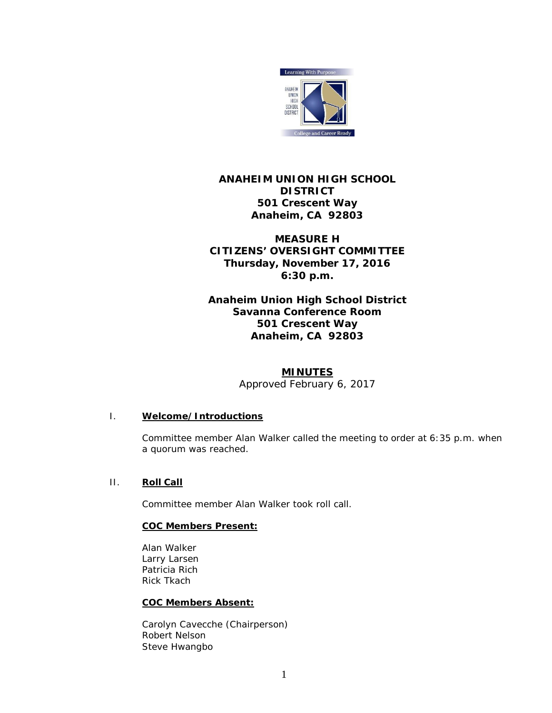

# **ANAHEIM UNION HIGH SCHOOL DISTRICT 501 Crescent Way Anaheim, CA 92803**

**MEASURE H CITIZENS' OVERSIGHT COMMITTEE Thursday, November 17, 2016 6:30 p.m.**

**Anaheim Union High School District Savanna Conference Room 501 Crescent Way Anaheim, CA 92803**

# **MINUTES**

*Approved February 6, 2017*

## I. **Welcome/Introductions**

Committee member Alan Walker called the meeting to order at 6:35 p.m. when a quorum was reached.

# II. **Roll Call**

Committee member Alan Walker took roll call.

## **COC Members Present:**

Alan Walker Larry Larsen Patricia Rich Rick Tkach

## **COC Members Absent:**

Carolyn Cavecche (Chairperson) Robert Nelson Steve Hwangbo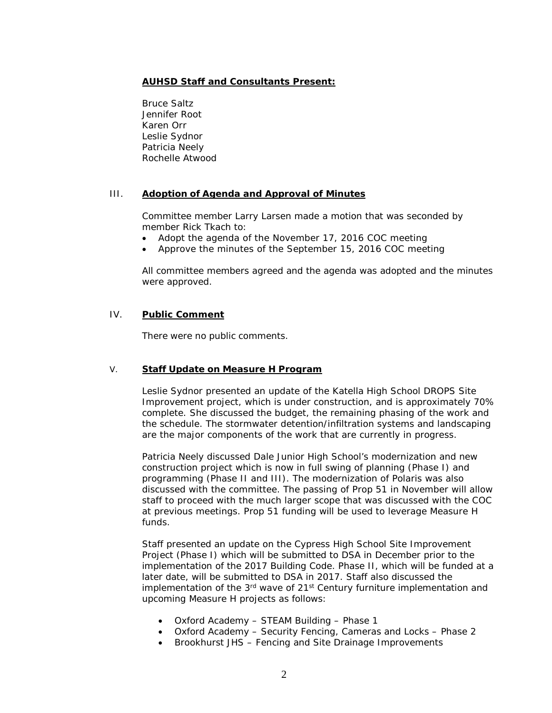# **AUHSD Staff and Consultants Present:**

Bruce Saltz Jennifer Root Karen Orr Leslie Sydnor Patricia Neely Rochelle Atwood

## III. **Adoption of Agenda and Approval of Minutes**

Committee member Larry Larsen made a motion that was seconded by member Rick Tkach to:

- Adopt the agenda of the November 17, 2016 COC meeting
- Approve the minutes of the September 15, 2016 COC meeting

All committee members agreed and the agenda was adopted and the minutes were approved.

## IV. **Public Comment**

There were no public comments.

### V. **Staff Update on Measure H Program**

Leslie Sydnor presented an update of the Katella High School DROPS Site Improvement project, which is under construction, and is approximately 70% complete. She discussed the budget, the remaining phasing of the work and the schedule. The stormwater detention/infiltration systems and landscaping are the major components of the work that are currently in progress.

Patricia Neely discussed Dale Junior High School's modernization and new construction project which is now in full swing of planning (Phase I) and programming (Phase II and III). The modernization of Polaris was also discussed with the committee. The passing of Prop 51 in November will allow staff to proceed with the much larger scope that was discussed with the COC at previous meetings. Prop 51 funding will be used to leverage Measure H funds.

Staff presented an update on the Cypress High School Site Improvement Project (Phase I) which will be submitted to DSA in December prior to the implementation of the 2017 Building Code. Phase II, which will be funded at a later date, will be submitted to DSA in 2017. Staff also discussed the implementation of the  $3<sup>rd</sup>$  wave of 21<sup>st</sup> Century furniture implementation and upcoming Measure H projects as follows:

- Oxford Academy STEAM Building Phase 1
- Oxford Academy Security Fencing, Cameras and Locks Phase 2
- Brookhurst JHS Fencing and Site Drainage Improvements